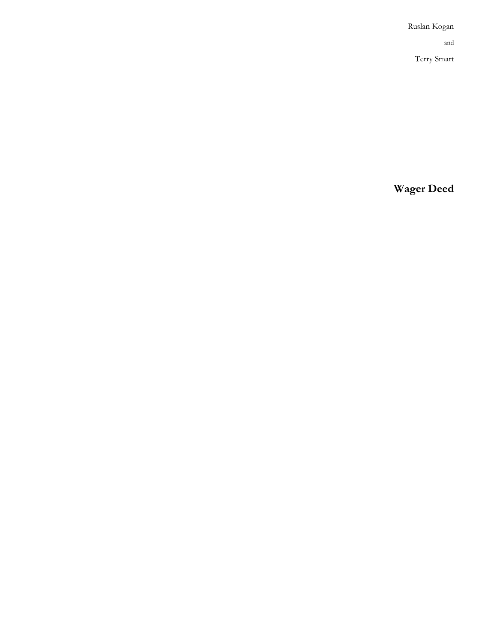Ruslan Kogan and Terry Smart

**Wager Deed**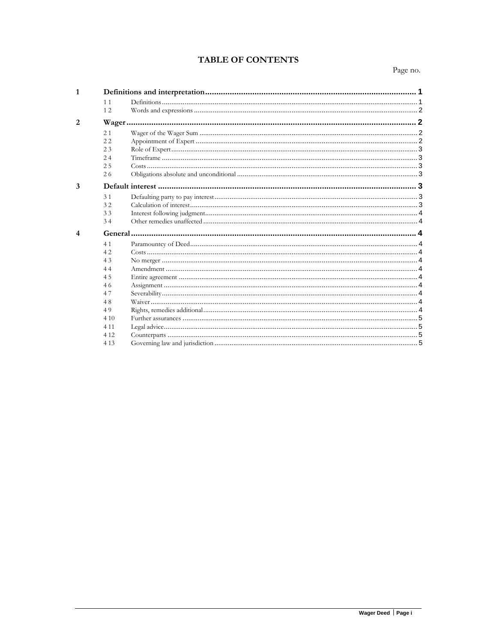# **TABLE OF CONTENTS**

Page no.

| $\mathbf{1}$   |       |  |  |  |
|----------------|-------|--|--|--|
|                | 11    |  |  |  |
|                | 12    |  |  |  |
| 2              |       |  |  |  |
|                | 21    |  |  |  |
|                | 22    |  |  |  |
|                | 23    |  |  |  |
|                | 24    |  |  |  |
|                | 2.5   |  |  |  |
|                | 26    |  |  |  |
| 3              |       |  |  |  |
|                | 31    |  |  |  |
|                | 32    |  |  |  |
|                | 33    |  |  |  |
|                | 34    |  |  |  |
| $\overline{4}$ |       |  |  |  |
|                | 41    |  |  |  |
|                | 42    |  |  |  |
|                | 43    |  |  |  |
|                | 44    |  |  |  |
|                | 4.5   |  |  |  |
|                | 46    |  |  |  |
|                | 47    |  |  |  |
|                | 48    |  |  |  |
|                | 49    |  |  |  |
|                | 410   |  |  |  |
|                | 4 1 1 |  |  |  |
|                | 4 1 2 |  |  |  |
|                | 4 1 3 |  |  |  |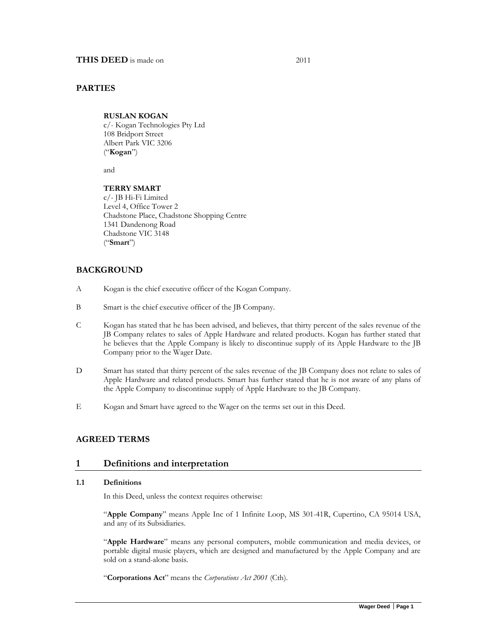### **PARTIES**

#### **RUSLAN KOGAN**

c/- Kogan Technologies Pty Ltd 108 Bridport Street Albert Park VIC 3206 ("**Kogan**")

and

### **TERRY SMART**

c/- JB Hi-Fi Limited Level 4, Office Tower 2 Chadstone Place, Chadstone Shopping Centre 1341 Dandenong Road Chadstone VIC 3148 ("**Smart**")

## **BACKGROUND**

- A Kogan is the chief executive officer of the Kogan Company.
- B Smart is the chief executive officer of the JB Company.
- C Kogan has stated that he has been advised, and believes, that thirty percent of the sales revenue of the JB Company relates to sales of Apple Hardware and related products. Kogan has further stated that he believes that the Apple Company is likely to discontinue supply of its Apple Hardware to the JB Company prior to the Wager Date.
- D Smart has stated that thirty percent of the sales revenue of the JB Company does not relate to sales of Apple Hardware and related products. Smart has further stated that he is not aware of any plans of the Apple Company to discontinue supply of Apple Hardware to the JB Company.
- E Kogan and Smart have agreed to the Wager on the terms set out in this Deed.

### **AGREED TERMS**

### **1 Definitions and interpretation**

#### **1.1 Definitions**

In this Deed, unless the context requires otherwise:

"**Apple Company**" means Apple Inc of 1 Infinite Loop, MS 301-41R, Cupertino, CA 95014 USA, and any of its Subsidiaries.

"**Apple Hardware**" means any personal computers, mobile communication and media devices, or portable digital music players, which are designed and manufactured by the Apple Company and are sold on a stand-alone basis.

"**Corporations Act**" means the *Corporations Act 2001* (Cth).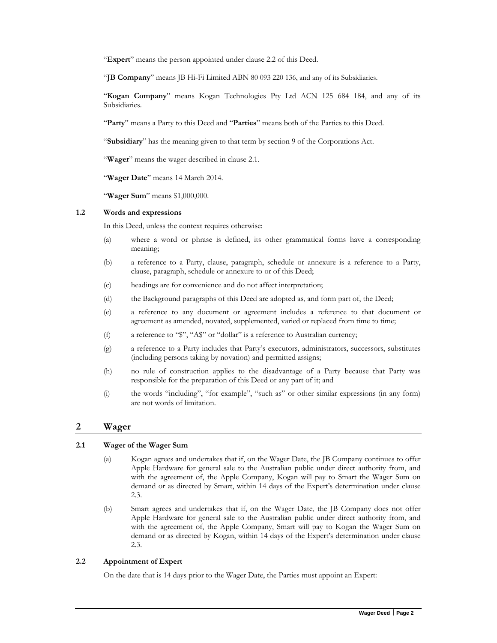"**Expert**" means the person appointed under clause 2.2 of this Deed.

"**JB Company**" means JB Hi-Fi Limited ABN 80 093 220 136, and any of its Subsidiaries.

"**Kogan Company**" means Kogan Technologies Pty Ltd ACN 125 684 184, and any of its Subsidiaries.

"**Party**" means a Party to this Deed and "**Parties**" means both of the Parties to this Deed.

"**Subsidiary**" has the meaning given to that term by section 9 of the Corporations Act.

"Wager" means the wager described in clause 2.1.

"**Wager Date**" means 14 March 2014.

"**Wager Sum**" means \$1,000,000.

#### **1.2 Words and expressions**

In this Deed, unless the context requires otherwise:

- (a) where a word or phrase is defined, its other grammatical forms have a corresponding meaning;
- (b) a reference to a Party, clause, paragraph, schedule or annexure is a reference to a Party, clause, paragraph, schedule or annexure to or of this Deed;
- (c) headings are for convenience and do not affect interpretation;
- (d) the Background paragraphs of this Deed are adopted as, and form part of, the Deed;
- (e) a reference to any document or agreement includes a reference to that document or agreement as amended, novated, supplemented, varied or replaced from time to time;
- (f) a reference to "\$", "A\$" or "dollar" is a reference to Australian currency;
- (g) a reference to a Party includes that Party's executors, administrators, successors, substitutes (including persons taking by novation) and permitted assigns;
- (h) no rule of construction applies to the disadvantage of a Party because that Party was responsible for the preparation of this Deed or any part of it; and
- (i) the words "including", "for example", "such as" or other similar expressions (in any form) are not words of limitation.

### **2 Wager**

#### **2.1 Wager of the Wager Sum**

- (a) Kogan agrees and undertakes that if, on the Wager Date, the JB Company continues to offer Apple Hardware for general sale to the Australian public under direct authority from, and with the agreement of, the Apple Company, Kogan will pay to Smart the Wager Sum on demand or as directed by Smart, within 14 days of the Expert's determination under clause 2.3.
- (b) Smart agrees and undertakes that if, on the Wager Date, the JB Company does not offer Apple Hardware for general sale to the Australian public under direct authority from, and with the agreement of, the Apple Company, Smart will pay to Kogan the Wager Sum on demand or as directed by Kogan, within 14 days of the Expert's determination under clause 2.3.

#### **2.2 Appointment of Expert**

On the date that is 14 days prior to the Wager Date, the Parties must appoint an Expert: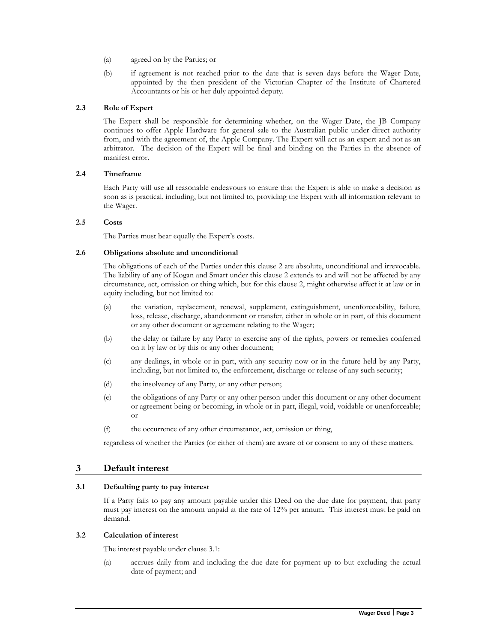- (a) agreed on by the Parties; or
- (b) if agreement is not reached prior to the date that is seven days before the Wager Date, appointed by the then president of the Victorian Chapter of the Institute of Chartered Accountants or his or her duly appointed deputy.

#### **2.3 Role of Expert**

The Expert shall be responsible for determining whether, on the Wager Date, the JB Company continues to offer Apple Hardware for general sale to the Australian public under direct authority from, and with the agreement of, the Apple Company. The Expert will act as an expert and not as an arbitrator. The decision of the Expert will be final and binding on the Parties in the absence of manifest error.

### **2.4 Timeframe**

Each Party will use all reasonable endeavours to ensure that the Expert is able to make a decision as soon as is practical, including, but not limited to, providing the Expert with all information relevant to the Wager.

#### **2.5 Costs**

The Parties must bear equally the Expert's costs.

#### **2.6 Obligations absolute and unconditional**

The obligations of each of the Parties under this clause 2 are absolute, unconditional and irrevocable. The liability of any of Kogan and Smart under this clause 2 extends to and will not be affected by any circumstance, act, omission or thing which, but for this clause 2, might otherwise affect it at law or in equity including, but not limited to:

- (a) the variation, replacement, renewal, supplement, extinguishment, unenforceability, failure, loss, release, discharge, abandonment or transfer, either in whole or in part, of this document or any other document or agreement relating to the Wager;
- (b) the delay or failure by any Party to exercise any of the rights, powers or remedies conferred on it by law or by this or any other document;
- (c) any dealings, in whole or in part, with any security now or in the future held by any Party, including, but not limited to, the enforcement, discharge or release of any such security;
- (d) the insolvency of any Party, or any other person;
- (e) the obligations of any Party or any other person under this document or any other document or agreement being or becoming, in whole or in part, illegal, void, voidable or unenforceable; or
- (f) the occurrence of any other circumstance, act, omission or thing,

regardless of whether the Parties (or either of them) are aware of or consent to any of these matters.

## **3 Default interest**

### **3.1 Defaulting party to pay interest**

If a Party fails to pay any amount payable under this Deed on the due date for payment, that party must pay interest on the amount unpaid at the rate of 12% per annum. This interest must be paid on demand.

### **3.2 Calculation of interest**

The interest payable under clause 3.1:

(a) accrues daily from and including the due date for payment up to but excluding the actual date of payment; and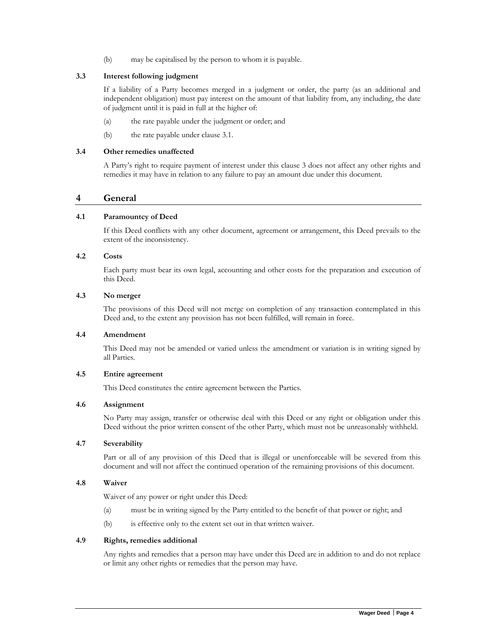(b) may be capitalised by the person to whom it is payable.

### **3.3 Interest following judgment**

If a liability of a Party becomes merged in a judgment or order, the party (as an additional and independent obligation) must pay interest on the amount of that liability from, any including, the date of judgment until it is paid in full at the higher of:

- (a) the rate payable under the judgment or order; and
- (b) the rate payable under clause 3.1.

#### **3.4 Other remedies unaffected**

A Party's right to require payment of interest under this clause 3 does not affect any other rights and remedies it may have in relation to any failure to pay an amount due under this document.

## **4 General**

#### **4.1 Paramountcy of Deed**

If this Deed conflicts with any other document, agreement or arrangement, this Deed prevails to the extent of the inconsistency.

#### **4.2 Costs**

Each party must bear its own legal, accounting and other costs for the preparation and execution of this Deed.

### **4.3 No merger**

The provisions of this Deed will not merge on completion of any transaction contemplated in this Deed and, to the extent any provision has not been fulfilled, will remain in force.

### **4.4 Amendment**

This Deed may not be amended or varied unless the amendment or variation is in writing signed by all Parties.

#### **4.5 Entire agreement**

This Deed constitutes the entire agreement between the Parties.

#### **4.6 Assignment**

No Party may assign, transfer or otherwise deal with this Deed or any right or obligation under this Deed without the prior written consent of the other Party, which must not be unreasonably withheld.

### **4.7 Severability**

Part or all of any provision of this Deed that is illegal or unenforceable will be severed from this document and will not affect the continued operation of the remaining provisions of this document.

#### **4.8 Waiver**

Waiver of any power or right under this Deed:

- (a) must be in writing signed by the Party entitled to the benefit of that power or right; and
- (b) is effective only to the extent set out in that written waiver.

### **4.9 Rights, remedies additional**

Any rights and remedies that a person may have under this Deed are in addition to and do not replace or limit any other rights or remedies that the person may have.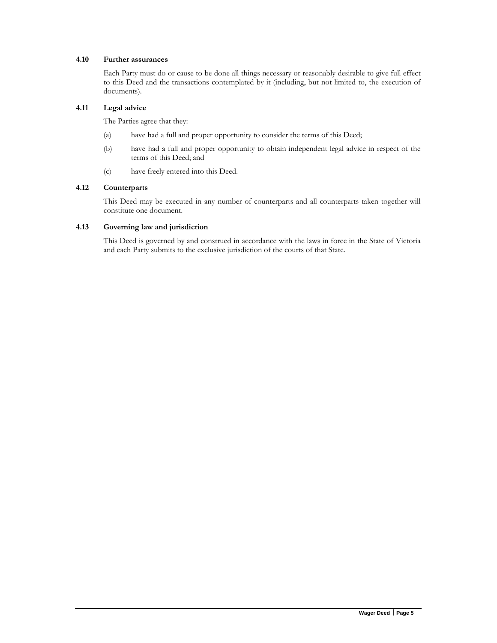### **4.10 Further assurances**

Each Party must do or cause to be done all things necessary or reasonably desirable to give full effect to this Deed and the transactions contemplated by it (including, but not limited to, the execution of documents).

### **4.11 Legal advice**

The Parties agree that they:

- (a) have had a full and proper opportunity to consider the terms of this Deed;
- (b) have had a full and proper opportunity to obtain independent legal advice in respect of the terms of this Deed; and
- (c) have freely entered into this Deed.

## **4.12 Counterparts**

This Deed may be executed in any number of counterparts and all counterparts taken together will constitute one document.

#### **4.13 Governing law and jurisdiction**

This Deed is governed by and construed in accordance with the laws in force in the State of Victoria and each Party submits to the exclusive jurisdiction of the courts of that State.